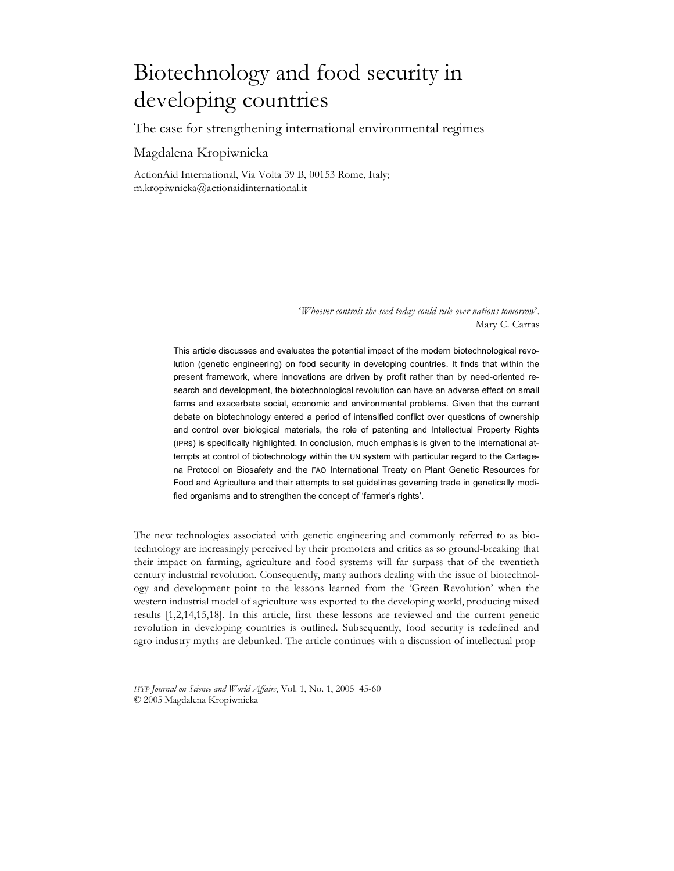# Biotechnology and food security in developing countries

The case for strengthening international environmental regimes

# Magdalena Kropiwnicka

ActionAid International, Via Volta 39 B, 00153 Rome, Italy; m.kropiwnicka@actionaidinternational.it

> '*Whoever controls the seed today could rule over nations tomorrow*'. Mary C. Carras

This article discusses and evaluates the potential impact of the modern biotechnological revolution (genetic engineering) on food security in developing countries. It finds that within the present framework, where innovations are driven by profit rather than by need-oriented research and development, the biotechnological revolution can have an adverse effect on small farms and exacerbate social, economic and environmental problems. Given that the current debate on biotechnology entered a period of intensified conflict over questions of ownership and control over biological materials, the role of patenting and Intellectual Property Rights (IPRs) is specifically highlighted. In conclusion, much emphasis is given to the international attempts at control of biotechnology within the UN system with particular regard to the Cartagena Protocol on Biosafety and the FAO International Treaty on Plant Genetic Resources for Food and Agriculture and their attempts to set guidelines governing trade in genetically modified organisms and to strengthen the concept of 'farmer's rights'.

The new technologies associated with genetic engineering and commonly referred to as biotechnology are increasingly perceived by their promoters and critics as so ground-breaking that their impact on farming, agriculture and food systems will far surpass that of the twentieth century industrial revolution. Consequently, many authors dealing with the issue of biotechnology and development point to the lessons learned from the 'Green Revolution' when the western industrial model of agriculture was exported to the developing world, producing mixed results [1,2,14,15,18]. In this article, first these lessons are reviewed and the current genetic revolution in developing countries is outlined. Subsequently, food security is redefined and agro-industry myths are debunked. The article continues with a discussion of intellectual prop-

*ISYP Journal on Science and World Affairs*, Vol. 1, No. 1, 2005 45-60 © 2005 Magdalena Kropiwnicka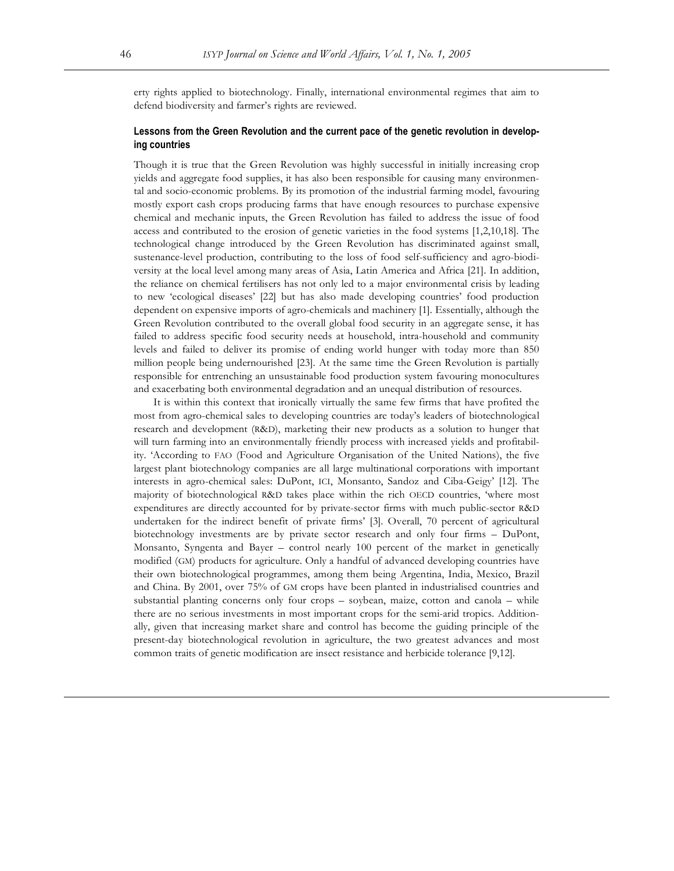erty rights applied to biotechnology. Finally, international environmental regimes that aim to defend biodiversity and farmer's rights are reviewed.

# **Lessons from the Green Revolution and the current pace of the genetic revolution in developing countries**

Though it is true that the Green Revolution was highly successful in initially increasing crop yields and aggregate food supplies, it has also been responsible for causing many environmental and socio-economic problems. By its promotion of the industrial farming model, favouring mostly export cash crops producing farms that have enough resources to purchase expensive chemical and mechanic inputs, the Green Revolution has failed to address the issue of food access and contributed to the erosion of genetic varieties in the food systems [1,2,10,18]. The technological change introduced by the Green Revolution has discriminated against small, sustenance-level production, contributing to the loss of food self-sufficiency and agro-biodiversity at the local level among many areas of Asia, Latin America and Africa [21]. In addition, the reliance on chemical fertilisers has not only led to a major environmental crisis by leading to new 'ecological diseases' [22] but has also made developing countries' food production dependent on expensive imports of agro-chemicals and machinery [1]. Essentially, although the Green Revolution contributed to the overall global food security in an aggregate sense, it has failed to address specific food security needs at household, intra-household and community levels and failed to deliver its promise of ending world hunger with today more than 850 million people being undernourished [23]. At the same time the Green Revolution is partially responsible for entrenching an unsustainable food production system favouring monocultures and exacerbating both environmental degradation and an unequal distribution of resources.

It is within this context that ironically virtually the same few firms that have profited the most from agro-chemical sales to developing countries are today's leaders of biotechnological research and development (R&D), marketing their new products as a solution to hunger that will turn farming into an environmentally friendly process with increased yields and profitability. 'According to FAO (Food and Agriculture Organisation of the United Nations), the five largest plant biotechnology companies are all large multinational corporations with important interests in agro-chemical sales: DuPont, ICI, Monsanto, Sandoz and Ciba-Geigy' [12]. The majority of biotechnological R&D takes place within the rich OECD countries, 'where most expenditures are directly accounted for by private-sector firms with much public-sector R&D undertaken for the indirect benefit of private firms' [3]. Overall, 70 percent of agricultural biotechnology investments are by private sector research and only four firms – DuPont, Monsanto, Syngenta and Bayer – control nearly 100 percent of the market in genetically modified (GM) products for agriculture. Only a handful of advanced developing countries have their own biotechnological programmes, among them being Argentina, India, Mexico, Brazil and China. By 2001, over 75% of GM crops have been planted in industrialised countries and substantial planting concerns only four crops – soybean, maize, cotton and canola – while there are no serious investments in most important crops for the semi-arid tropics. Additionally, given that increasing market share and control has become the guiding principle of the present-day biotechnological revolution in agriculture, the two greatest advances and most common traits of genetic modification are insect resistance and herbicide tolerance [9,12].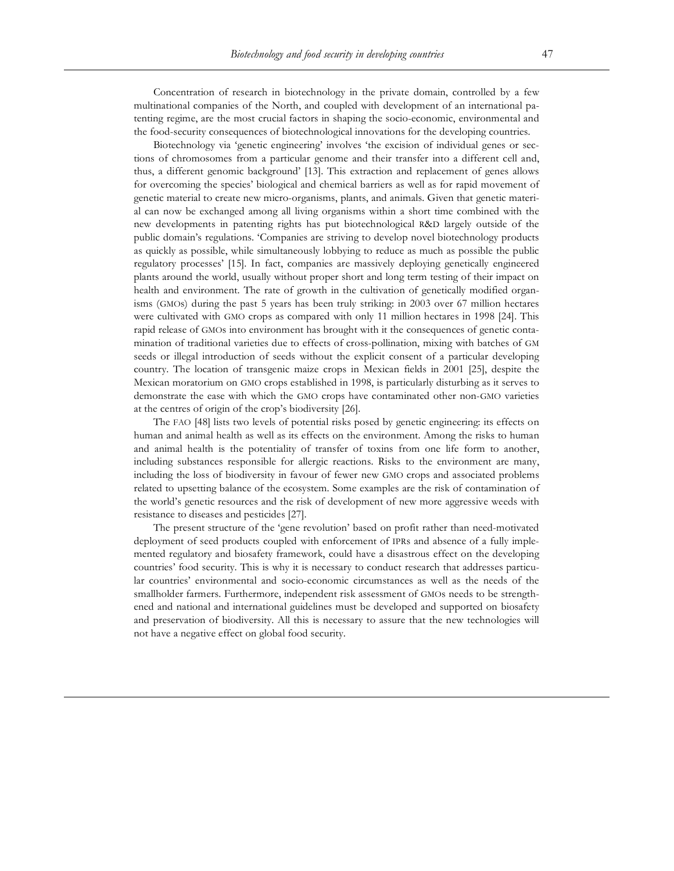Concentration of research in biotechnology in the private domain, controlled by a few multinational companies of the North, and coupled with development of an international patenting regime, are the most crucial factors in shaping the socio-economic, environmental and the food-security consequences of biotechnological innovations for the developing countries.

Biotechnology via 'genetic engineering' involves 'the excision of individual genes or sections of chromosomes from a particular genome and their transfer into a different cell and, thus, a different genomic background' [13]. This extraction and replacement of genes allows for overcoming the species' biological and chemical barriers as well as for rapid movement of genetic material to create new micro-organisms, plants, and animals. Given that genetic material can now be exchanged among all living organisms within a short time combined with the new developments in patenting rights has put biotechnological R&D largely outside of the public domain's regulations. 'Companies are striving to develop novel biotechnology products as quickly as possible, while simultaneously lobbying to reduce as much as possible the public regulatory processes' [15]. In fact, companies are massively deploying genetically engineered plants around the world, usually without proper short and long term testing of their impact on health and environment. The rate of growth in the cultivation of genetically modified organisms (GMOs) during the past 5 years has been truly striking: in 2003 over 67 million hectares were cultivated with GMO crops as compared with only 11 million hectares in 1998 [24]. This rapid release of GMOs into environment has brought with it the consequences of genetic contamination of traditional varieties due to effects of cross-pollination, mixing with batches of GM seeds or illegal introduction of seeds without the explicit consent of a particular developing country. The location of transgenic maize crops in Mexican fields in 2001 [25], despite the Mexican moratorium on GMO crops established in 1998, is particularly disturbing as it serves to demonstrate the ease with which the GMO crops have contaminated other non-GMO varieties at the centres of origin of the crop's biodiversity [26].

The FAO [48] lists two levels of potential risks posed by genetic engineering: its effects on human and animal health as well as its effects on the environment. Among the risks to human and animal health is the potentiality of transfer of toxins from one life form to another, including substances responsible for allergic reactions. Risks to the environment are many, including the loss of biodiversity in favour of fewer new GMO crops and associated problems related to upsetting balance of the ecosystem. Some examples are the risk of contamination of the world's genetic resources and the risk of development of new more aggressive weeds with resistance to diseases and pesticides [27].

The present structure of the 'gene revolution' based on profit rather than need-motivated deployment of seed products coupled with enforcement of IPRs and absence of a fully implemented regulatory and biosafety framework, could have a disastrous effect on the developing countries' food security. This is why it is necessary to conduct research that addresses particular countries' environmental and socio-economic circumstances as well as the needs of the smallholder farmers. Furthermore, independent risk assessment of GMOs needs to be strengthened and national and international guidelines must be developed and supported on biosafety and preservation of biodiversity. All this is necessary to assure that the new technologies will not have a negative effect on global food security.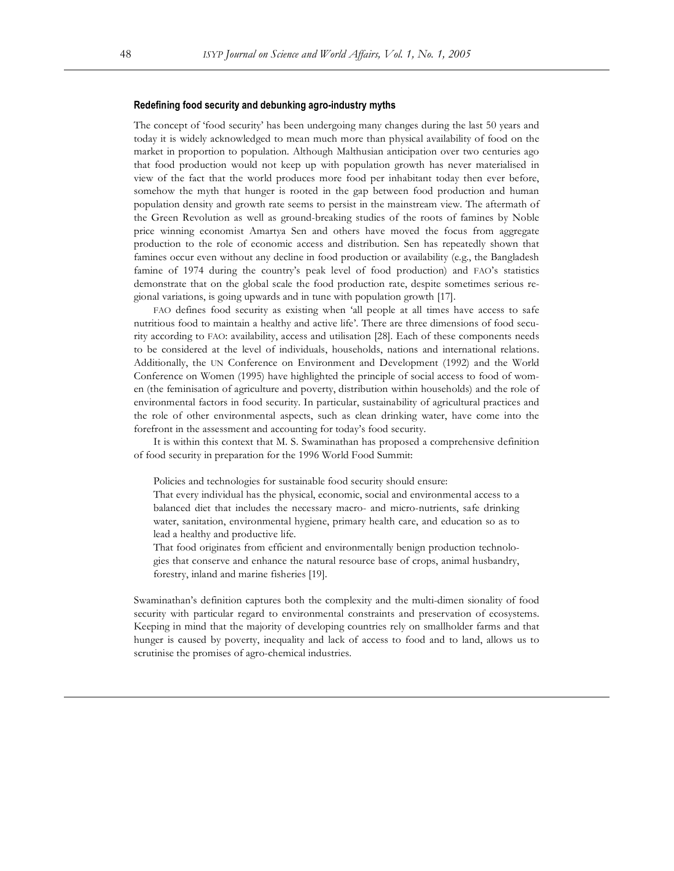#### **Redefining food security and debunking agro-industry myths**

The concept of 'food security' has been undergoing many changes during the last 50 years and today it is widely acknowledged to mean much more than physical availability of food on the market in proportion to population. Although Malthusian anticipation over two centuries ago that food production would not keep up with population growth has never materialised in view of the fact that the world produces more food per inhabitant today then ever before, somehow the myth that hunger is rooted in the gap between food production and human population density and growth rate seems to persist in the mainstream view. The aftermath of the Green Revolution as well as ground-breaking studies of the roots of famines by Noble price winning economist Amartya Sen and others have moved the focus from aggregate production to the role of economic access and distribution. Sen has repeatedly shown that famines occur even without any decline in food production or availability (e.g., the Bangladesh famine of 1974 during the country's peak level of food production) and FAO's statistics demonstrate that on the global scale the food production rate, despite sometimes serious regional variations, is going upwards and in tune with population growth [17].

FAO defines food security as existing when 'all people at all times have access to safe nutritious food to maintain a healthy and active life'. There are three dimensions of food security according to FAO: availability, access and utilisation [28]. Each of these components needs to be considered at the level of individuals, households, nations and international relations. Additionally, the UN Conference on Environment and Development (1992) and the World Conference on Women (1995) have highlighted the principle of social access to food of women (the feminisation of agriculture and poverty, distribution within households) and the role of environmental factors in food security. In particular, sustainability of agricultural practices and the role of other environmental aspects, such as clean drinking water, have come into the forefront in the assessment and accounting for today's food security.

It is within this context that M. S. Swaminathan has proposed a comprehensive definition of food security in preparation for the 1996 World Food Summit:

Policies and technologies for sustainable food security should ensure:

That every individual has the physical, economic, social and environmental access to a balanced diet that includes the necessary macro- and micro-nutrients, safe drinking water, sanitation, environmental hygiene, primary health care, and education so as to lead a healthy and productive life.

That food originates from efficient and environmentally benign production technologies that conserve and enhance the natural resource base of crops, animal husbandry, forestry, inland and marine fisheries [19].

Swaminathan's definition captures both the complexity and the multi-dimen sionality of food security with particular regard to environmental constraints and preservation of ecosystems. Keeping in mind that the majority of developing countries rely on smallholder farms and that hunger is caused by poverty, inequality and lack of access to food and to land, allows us to scrutinise the promises of agro-chemical industries.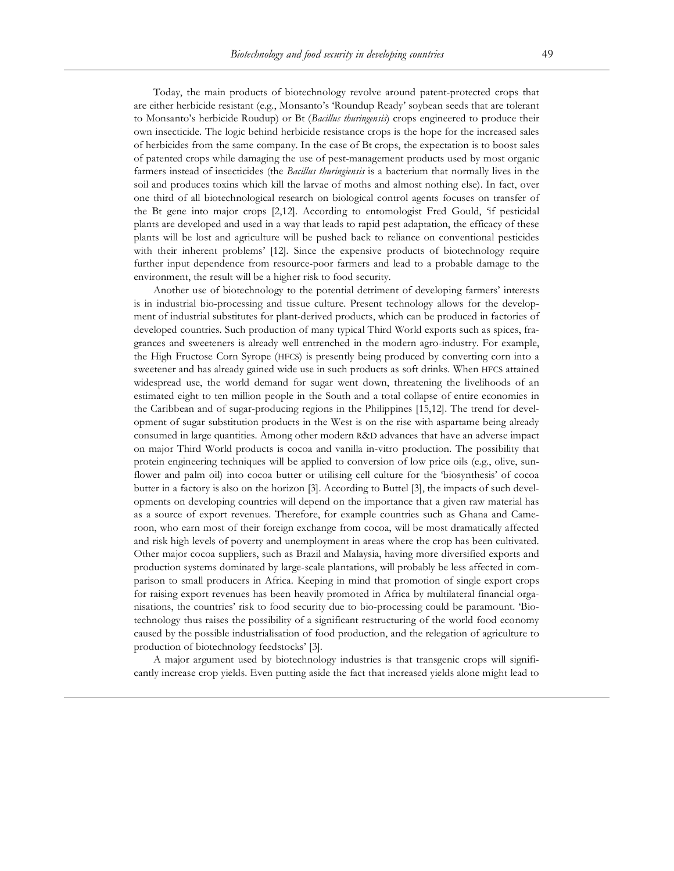Today, the main products of biotechnology revolve around patent-protected crops that are either herbicide resistant (e.g., Monsanto's 'Roundup Ready' soybean seeds that are tolerant to Monsanto's herbicide Roudup) or Bt (*Bacillus thuringensis*) crops engineered to produce their own insecticide. The logic behind herbicide resistance crops is the hope for the increased sales of herbicides from the same company. In the case of Bt crops, the expectation is to boost sales of patented crops while damaging the use of pest-management products used by most organic farmers instead of insecticides (the *Bacillus thuringiensis* is a bacterium that normally lives in the soil and produces toxins which kill the larvae of moths and almost nothing else). In fact, over one third of all biotechnological research on biological control agents focuses on transfer of the Bt gene into major crops [2,12]. According to entomologist Fred Gould, 'if pesticidal plants are developed and used in a way that leads to rapid pest adaptation, the efficacy of these plants will be lost and agriculture will be pushed back to reliance on conventional pesticides with their inherent problems' [12]. Since the expensive products of biotechnology require further input dependence from resource-poor farmers and lead to a probable damage to the environment, the result will be a higher risk to food security.

Another use of biotechnology to the potential detriment of developing farmers' interests is in industrial bio-processing and tissue culture. Present technology allows for the development of industrial substitutes for plant-derived products, which can be produced in factories of developed countries. Such production of many typical Third World exports such as spices, fragrances and sweeteners is already well entrenched in the modern agro-industry. For example, the High Fructose Corn Syrope (HFCS) is presently being produced by converting corn into a sweetener and has already gained wide use in such products as soft drinks. When HFCS attained widespread use, the world demand for sugar went down, threatening the livelihoods of an estimated eight to ten million people in the South and a total collapse of entire economies in the Caribbean and of sugar-producing regions in the Philippines [15,12]. The trend for development of sugar substitution products in the West is on the rise with aspartame being already consumed in large quantities. Among other modern R&D advances that have an adverse impact on major Third World products is cocoa and vanilla in-vitro production. The possibility that protein engineering techniques will be applied to conversion of low price oils (e.g., olive, sunflower and palm oil) into cocoa butter or utilising cell culture for the 'biosynthesis' of cocoa butter in a factory is also on the horizon [3]. According to Buttel [3], the impacts of such developments on developing countries will depend on the importance that a given raw material has as a source of export revenues. Therefore, for example countries such as Ghana and Cameroon, who earn most of their foreign exchange from cocoa, will be most dramatically affected and risk high levels of poverty and unemployment in areas where the crop has been cultivated. Other major cocoa suppliers, such as Brazil and Malaysia, having more diversified exports and production systems dominated by large-scale plantations, will probably be less affected in comparison to small producers in Africa. Keeping in mind that promotion of single export crops for raising export revenues has been heavily promoted in Africa by multilateral financial organisations, the countries' risk to food security due to bio-processing could be paramount. 'Biotechnology thus raises the possibility of a significant restructuring of the world food economy caused by the possible industrialisation of food production, and the relegation of agriculture to production of biotechnology feedstocks' [3].

A major argument used by biotechnology industries is that transgenic crops will significantly increase crop yields. Even putting aside the fact that increased yields alone might lead to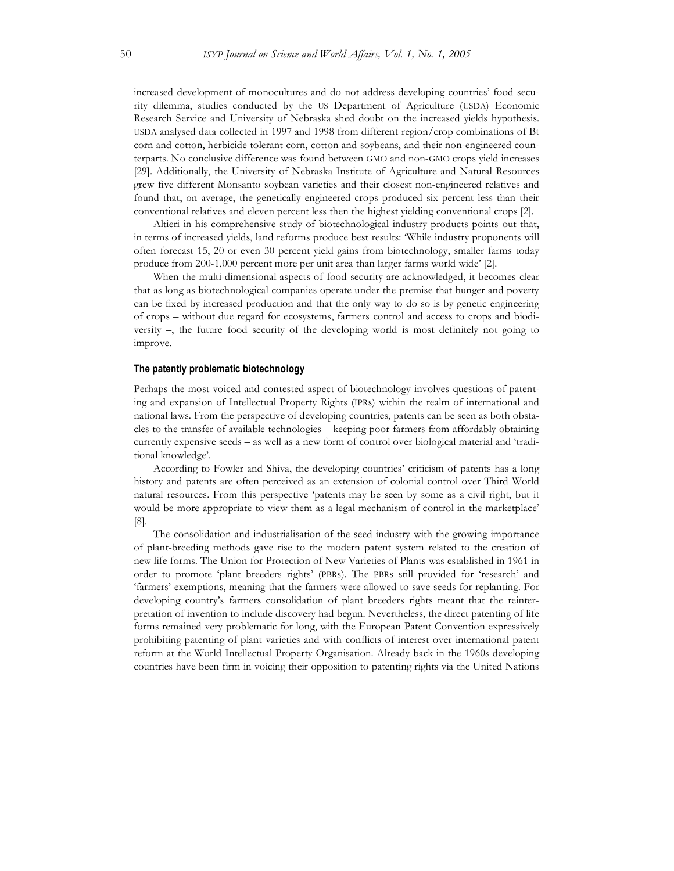increased development of monocultures and do not address developing countries' food security dilemma, studies conducted by the US Department of Agriculture (USDA) Economic Research Service and University of Nebraska shed doubt on the increased yields hypothesis. USDA analysed data collected in 1997 and 1998 from different region/crop combinations of Bt corn and cotton, herbicide tolerant corn, cotton and soybeans, and their non-engineered counterparts. No conclusive difference was found between GMO and non-GMO crops yield increases [29]. Additionally, the University of Nebraska Institute of Agriculture and Natural Resources grew five different Monsanto soybean varieties and their closest non-engineered relatives and found that, on average, the genetically engineered crops produced six percent less than their conventional relatives and eleven percent less then the highest yielding conventional crops [2].

Altieri in his comprehensive study of biotechnological industry products points out that, in terms of increased yields, land reforms produce best results: 'While industry proponents will often forecast 15, 20 or even 30 percent yield gains from biotechnology, smaller farms today produce from 200-1,000 percent more per unit area than larger farms world wide' [2].

When the multi-dimensional aspects of food security are acknowledged, it becomes clear that as long as biotechnological companies operate under the premise that hunger and poverty can be fixed by increased production and that the only way to do so is by genetic engineering of crops – without due regard for ecosystems, farmers control and access to crops and biodiversity –, the future food security of the developing world is most definitely not going to improve.

## **The patently problematic biotechnology**

Perhaps the most voiced and contested aspect of biotechnology involves questions of patenting and expansion of Intellectual Property Rights (IPRs) within the realm of international and national laws. From the perspective of developing countries, patents can be seen as both obstacles to the transfer of available technologies – keeping poor farmers from affordably obtaining currently expensive seeds – as well as a new form of control over biological material and 'traditional knowledge'.

According to Fowler and Shiva, the developing countries' criticism of patents has a long history and patents are often perceived as an extension of colonial control over Third World natural resources. From this perspective 'patents may be seen by some as a civil right, but it would be more appropriate to view them as a legal mechanism of control in the marketplace' [8].

The consolidation and industrialisation of the seed industry with the growing importance of plant-breeding methods gave rise to the modern patent system related to the creation of new life forms. The Union for Protection of New Varieties of Plants was established in 1961 in order to promote 'plant breeders rights' (PBRs). The PBRs still provided for 'research' and 'farmers' exemptions, meaning that the farmers were allowed to save seeds for replanting. For developing country's farmers consolidation of plant breeders rights meant that the reinterpretation of invention to include discovery had begun. Nevertheless, the direct patenting of life forms remained very problematic for long, with the European Patent Convention expressively prohibiting patenting of plant varieties and with conflicts of interest over international patent reform at the World Intellectual Property Organisation. Already back in the 1960s developing countries have been firm in voicing their opposition to patenting rights via the United Nations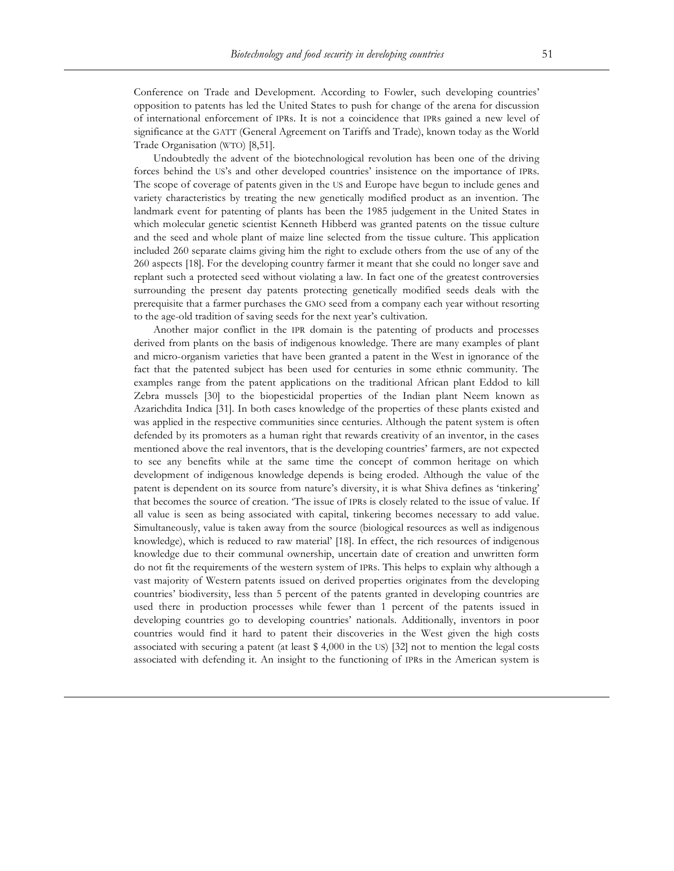Conference on Trade and Development. According to Fowler, such developing countries' opposition to patents has led the United States to push for change of the arena for discussion of international enforcement of IPRs. It is not a coincidence that IPRs gained a new level of significance at the GATT (General Agreement on Tariffs and Trade), known today as the World Trade Organisation (WTO) [8,51].

Undoubtedly the advent of the biotechnological revolution has been one of the driving forces behind the US's and other developed countries' insistence on the importance of IPRs. The scope of coverage of patents given in the US and Europe have begun to include genes and variety characteristics by treating the new genetically modified product as an invention. The landmark event for patenting of plants has been the 1985 judgement in the United States in which molecular genetic scientist Kenneth Hibberd was granted patents on the tissue culture and the seed and whole plant of maize line selected from the tissue culture. This application included 260 separate claims giving him the right to exclude others from the use of any of the 260 aspects [18]. For the developing country farmer it meant that she could no longer save and replant such a protected seed without violating a law. In fact one of the greatest controversies surrounding the present day patents protecting genetically modified seeds deals with the prerequisite that a farmer purchases the GMO seed from a company each year without resorting to the age-old tradition of saving seeds for the next year's cultivation.

Another major conflict in the IPR domain is the patenting of products and processes derived from plants on the basis of indigenous knowledge. There are many examples of plant and micro-organism varieties that have been granted a patent in the West in ignorance of the fact that the patented subject has been used for centuries in some ethnic community. The examples range from the patent applications on the traditional African plant Eddod to kill Zebra mussels [30] to the biopesticidal properties of the Indian plant Neem known as Azarichdita Indica [31]. In both cases knowledge of the properties of these plants existed and was applied in the respective communities since centuries. Although the patent system is often defended by its promoters as a human right that rewards creativity of an inventor, in the cases mentioned above the real inventors, that is the developing countries' farmers, are not expected to see any benefits while at the same time the concept of common heritage on which development of indigenous knowledge depends is being eroded. Although the value of the patent is dependent on its source from nature's diversity, it is what Shiva defines as 'tinkering' that becomes the source of creation. 'The issue of IPRs is closely related to the issue of value. If all value is seen as being associated with capital, tinkering becomes necessary to add value. Simultaneously, value is taken away from the source (biological resources as well as indigenous knowledge), which is reduced to raw material' [18]. In effect, the rich resources of indigenous knowledge due to their communal ownership, uncertain date of creation and unwritten form do not fit the requirements of the western system of IPRs. This helps to explain why although a vast majority of Western patents issued on derived properties originates from the developing countries' biodiversity, less than 5 percent of the patents granted in developing countries are used there in production processes while fewer than 1 percent of the patents issued in developing countries go to developing countries' nationals. Additionally, inventors in poor countries would find it hard to patent their discoveries in the West given the high costs associated with securing a patent (at least \$ 4,000 in the US) [32] not to mention the legal costs associated with defending it. An insight to the functioning of IPRs in the American system is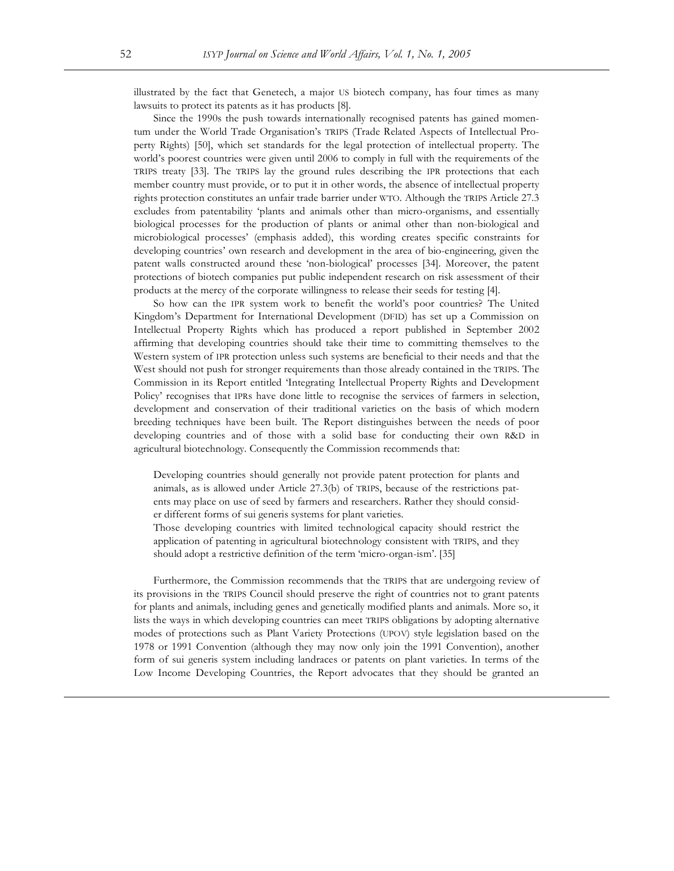illustrated by the fact that Genetech, a major US biotech company, has four times as many lawsuits to protect its patents as it has products [8].

Since the 1990s the push towards internationally recognised patents has gained momentum under the World Trade Organisation's TRIPS (Trade Related Aspects of Intellectual Property Rights) [50], which set standards for the legal protection of intellectual property. The world's poorest countries were given until 2006 to comply in full with the requirements of the TRIPS treaty [33]. The TRIPS lay the ground rules describing the IPR protections that each member country must provide, or to put it in other words, the absence of intellectual property rights protection constitutes an unfair trade barrier under WTO. Although the TRIPS Article 27.3 excludes from patentability 'plants and animals other than micro-organisms, and essentially biological processes for the production of plants or animal other than non-biological and microbiological processes' (emphasis added), this wording creates specific constraints for developing countries' own research and development in the area of bio-engineering, given the patent walls constructed around these 'non-biological' processes [34]. Moreover, the patent protections of biotech companies put public independent research on risk assessment of their products at the mercy of the corporate willingness to release their seeds for testing [4].

So how can the IPR system work to benefit the world's poor countries? The United Kingdom's Department for International Development (DFID) has set up a Commission on Intellectual Property Rights which has produced a report published in September 2002 affirming that developing countries should take their time to committing themselves to the Western system of IPR protection unless such systems are beneficial to their needs and that the West should not push for stronger requirements than those already contained in the TRIPS. The Commission in its Report entitled 'Integrating Intellectual Property Rights and Development Policy' recognises that IPRs have done little to recognise the services of farmers in selection, development and conservation of their traditional varieties on the basis of which modern breeding techniques have been built. The Report distinguishes between the needs of poor developing countries and of those with a solid base for conducting their own R&D in agricultural biotechnology. Consequently the Commission recommends that:

Developing countries should generally not provide patent protection for plants and animals, as is allowed under Article 27.3(b) of TRIPS, because of the restrictions patents may place on use of seed by farmers and researchers. Rather they should consider different forms of sui generis systems for plant varieties.

Those developing countries with limited technological capacity should restrict the application of patenting in agricultural biotechnology consistent with TRIPS, and they should adopt a restrictive definition of the term 'micro-organ-ism'. [35]

Furthermore, the Commission recommends that the TRIPS that are undergoing review of its provisions in the TRIPS Council should preserve the right of countries not to grant patents for plants and animals, including genes and genetically modified plants and animals. More so, it lists the ways in which developing countries can meet TRIPS obligations by adopting alternative modes of protections such as Plant Variety Protections (UPOV) style legislation based on the 1978 or 1991 Convention (although they may now only join the 1991 Convention), another form of sui generis system including landraces or patents on plant varieties. In terms of the Low Income Developing Countries, the Report advocates that they should be granted an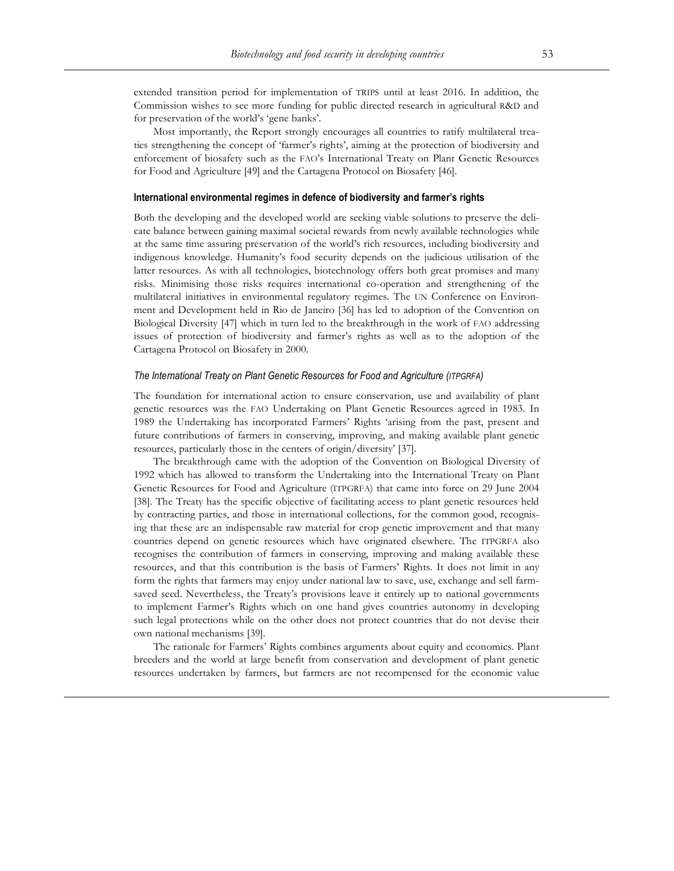extended transition period for implementation of TRIPS until at least 2016. In addition, the Commission wishes to see more funding for public directed research in agricultural R&D and for preservation of the world's 'gene banks'.

Most importantly, the Report strongly encourages all countries to ratify multilateral treaties strengthening the concept of 'farmer's rights', aiming at the protection of biodiversity and enforcement of biosafety such as the FAO's International Treaty on Plant Genetic Resources for Food and Agriculture [49] and the Cartagena Protocol on Biosafety [46].

## **International environmental regimes in defence of biodiversity and farmer's rights**

Both the developing and the developed world are seeking viable solutions to preserve the delicate balance between gaining maximal societal rewards from newly available technologies while at the same time assuring preservation of the world's rich resources, including biodiversity and indigenous knowledge. Humanity's food security depends on the judicious utilisation of the latter resources. As with all technologies, biotechnology offers both great promises and many risks. Minimising those risks requires international co-operation and strengthening of the multilateral initiatives in environmental regulatory regimes. The UN Conference on Environment and Development held in Rio de Janeiro [36] has led to adoption of the Convention on Biological Diversity [47] which in turn led to the breakthrough in the work of FAO addressing issues of protection of biodiversity and farmer's rights as well as to the adoption of the Cartagena Protocol on Biosafety in 2000.

#### *The International Treaty on Plant Genetic Resources for Food and Agriculture (ITPGRFA)*

The foundation for international action to ensure conservation, use and availability of plant genetic resources was the FAO Undertaking on Plant Genetic Resources agreed in 1983. In 1989 the Undertaking has incorporated Farmers' Rights 'arising from the past, present and future contributions of farmers in conserving, improving, and making available plant genetic resources, particularly those in the centers of origin/diversity' [37].

The breakthrough came with the adoption of the Convention on Biological Diversity of 1992 which has allowed to transform the Undertaking into the International Treaty on Plant Genetic Resources for Food and Agriculture (ITPGRFA) that came into force on 29 June 2004 [38]. The Treaty has the specific objective of facilitating access to plant genetic resources held by contracting parties, and those in international collections, for the common good, recognising that these are an indispensable raw material for crop genetic improvement and that many countries depend on genetic resources which have originated elsewhere. The ITPGRFA also recognises the contribution of farmers in conserving, improving and making available these resources, and that this contribution is the basis of Farmers' Rights. It does not limit in any form the rights that farmers may enjoy under national law to save, use, exchange and sell farmsaved seed. Nevertheless, the Treaty's provisions leave it entirely up to national governments to implement Farmer's Rights which on one hand gives countries autonomy in developing such legal protections while on the other does not protect countries that do not devise their own national mechanisms [39].

The rationale for Farmers' Rights combines arguments about equity and economics. Plant breeders and the world at large benefit from conservation and development of plant genetic resources undertaken by farmers, but farmers are not recompensed for the economic value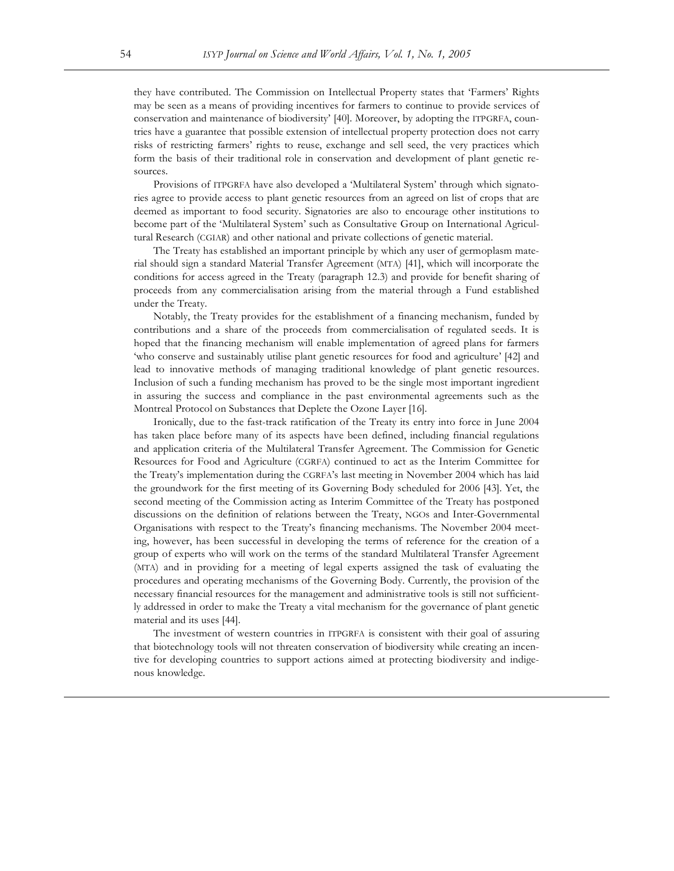they have contributed. The Commission on Intellectual Property states that 'Farmers' Rights may be seen as a means of providing incentives for farmers to continue to provide services of conservation and maintenance of biodiversity' [40]. Moreover, by adopting the ITPGRFA, countries have a guarantee that possible extension of intellectual property protection does not carry risks of restricting farmers' rights to reuse, exchange and sell seed, the very practices which form the basis of their traditional role in conservation and development of plant genetic resources.

Provisions of ITPGRFA have also developed a 'Multilateral System' through which signatories agree to provide access to plant genetic resources from an agreed on list of crops that are deemed as important to food security. Signatories are also to encourage other institutions to become part of the 'Multilateral System' such as Consultative Group on International Agricultural Research (CGIAR) and other national and private collections of genetic material.

The Treaty has established an important principle by which any user of germoplasm material should sign a standard Material Transfer Agreement (MTA) [41], which will incorporate the conditions for access agreed in the Treaty (paragraph 12.3) and provide for benefit sharing of proceeds from any commercialisation arising from the material through a Fund established under the Treaty.

Notably, the Treaty provides for the establishment of a financing mechanism, funded by contributions and a share of the proceeds from commercialisation of regulated seeds. It is hoped that the financing mechanism will enable implementation of agreed plans for farmers 'who conserve and sustainably utilise plant genetic resources for food and agriculture' [42] and lead to innovative methods of managing traditional knowledge of plant genetic resources. Inclusion of such a funding mechanism has proved to be the single most important ingredient in assuring the success and compliance in the past environmental agreements such as the Montreal Protocol on Substances that Deplete the Ozone Layer [16].

Ironically, due to the fast-track ratification of the Treaty its entry into force in June 2004 has taken place before many of its aspects have been defined, including financial regulations and application criteria of the Multilateral Transfer Agreement. The Commission for Genetic Resources for Food and Agriculture (CGRFA) continued to act as the Interim Committee for the Treaty's implementation during the CGRFA's last meeting in November 2004 which has laid the groundwork for the first meeting of its Governing Body scheduled for 2006 [43]. Yet, the second meeting of the Commission acting as Interim Committee of the Treaty has postponed discussions on the definition of relations between the Treaty, NGOs and Inter-Governmental Organisations with respect to the Treaty's financing mechanisms. The November 2004 meeting, however, has been successful in developing the terms of reference for the creation of a group of experts who will work on the terms of the standard Multilateral Transfer Agreement (MTA) and in providing for a meeting of legal experts assigned the task of evaluating the procedures and operating mechanisms of the Governing Body. Currently, the provision of the necessary financial resources for the management and administrative tools is still not sufficiently addressed in order to make the Treaty a vital mechanism for the governance of plant genetic material and its uses [44].

The investment of western countries in ITPGRFA is consistent with their goal of assuring that biotechnology tools will not threaten conservation of biodiversity while creating an incentive for developing countries to support actions aimed at protecting biodiversity and indigenous knowledge.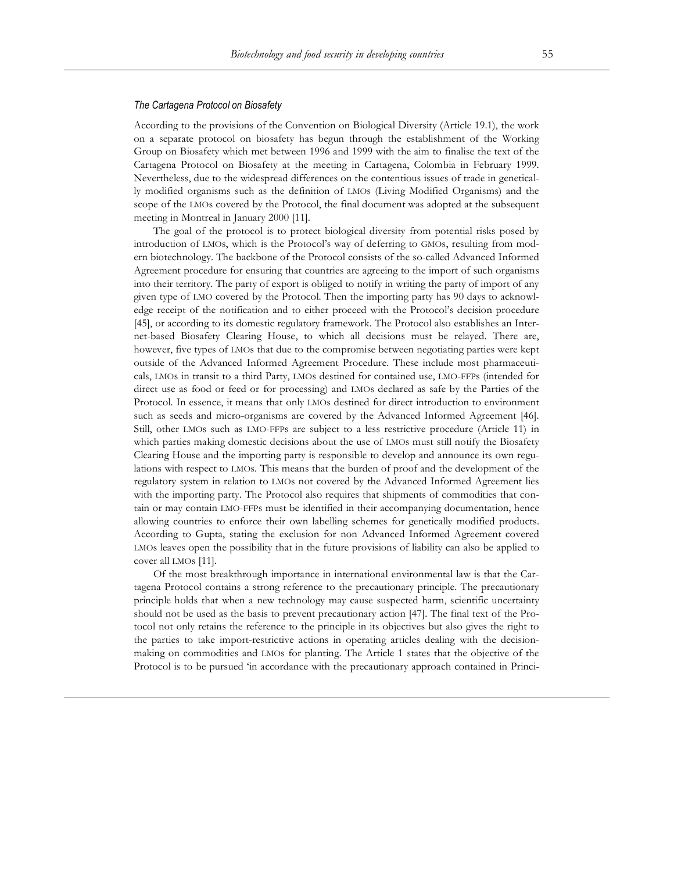#### *The Cartagena Protocol on Biosafety*

According to the provisions of the Convention on Biological Diversity (Article 19.1), the work on a separate protocol on biosafety has begun through the establishment of the Working Group on Biosafety which met between 1996 and 1999 with the aim to finalise the text of the Cartagena Protocol on Biosafety at the meeting in Cartagena, Colombia in February 1999. Nevertheless, due to the widespread differences on the contentious issues of trade in genetically modified organisms such as the definition of LMOs (Living Modified Organisms) and the scope of the LMOs covered by the Protocol, the final document was adopted at the subsequent meeting in Montreal in January 2000 [11].

The goal of the protocol is to protect biological diversity from potential risks posed by introduction of LMOs, which is the Protocol's way of deferring to GMOs, resulting from modern biotechnology. The backbone of the Protocol consists of the so-called Advanced Informed Agreement procedure for ensuring that countries are agreeing to the import of such organisms into their territory. The party of export is obliged to notify in writing the party of import of any given type of LMO covered by the Protocol. Then the importing party has 90 days to acknowledge receipt of the notification and to either proceed with the Protocol's decision procedure [45], or according to its domestic regulatory framework. The Protocol also establishes an Internet-based Biosafety Clearing House, to which all decisions must be relayed. There are, however, five types of LMOs that due to the compromise between negotiating parties were kept outside of the Advanced Informed Agreement Procedure. These include most pharmaceuticals, LMOs in transit to a third Party, LMOs destined for contained use, LMO-FFPs (intended for direct use as food or feed or for processing) and LMOs declared as safe by the Parties of the Protocol. In essence, it means that only LMOs destined for direct introduction to environment such as seeds and micro-organisms are covered by the Advanced Informed Agreement [46]. Still, other LMOs such as LMO-FFPs are subject to a less restrictive procedure (Article 11) in which parties making domestic decisions about the use of LMOs must still notify the Biosafety Clearing House and the importing party is responsible to develop and announce its own regulations with respect to LMOs. This means that the burden of proof and the development of the regulatory system in relation to LMOs not covered by the Advanced Informed Agreement lies with the importing party. The Protocol also requires that shipments of commodities that contain or may contain LMO-FFPs must be identified in their accompanying documentation, hence allowing countries to enforce their own labelling schemes for genetically modified products. According to Gupta, stating the exclusion for non Advanced Informed Agreement covered LMOs leaves open the possibility that in the future provisions of liability can also be applied to cover all LMOs [11].

Of the most breakthrough importance in international environmental law is that the Cartagena Protocol contains a strong reference to the precautionary principle. The precautionary principle holds that when a new technology may cause suspected harm, scientific uncertainty should not be used as the basis to prevent precautionary action [47]. The final text of the Protocol not only retains the reference to the principle in its objectives but also gives the right to the parties to take import-restrictive actions in operating articles dealing with the decisionmaking on commodities and LMOs for planting. The Article 1 states that the objective of the Protocol is to be pursued 'in accordance with the precautionary approach contained in Princi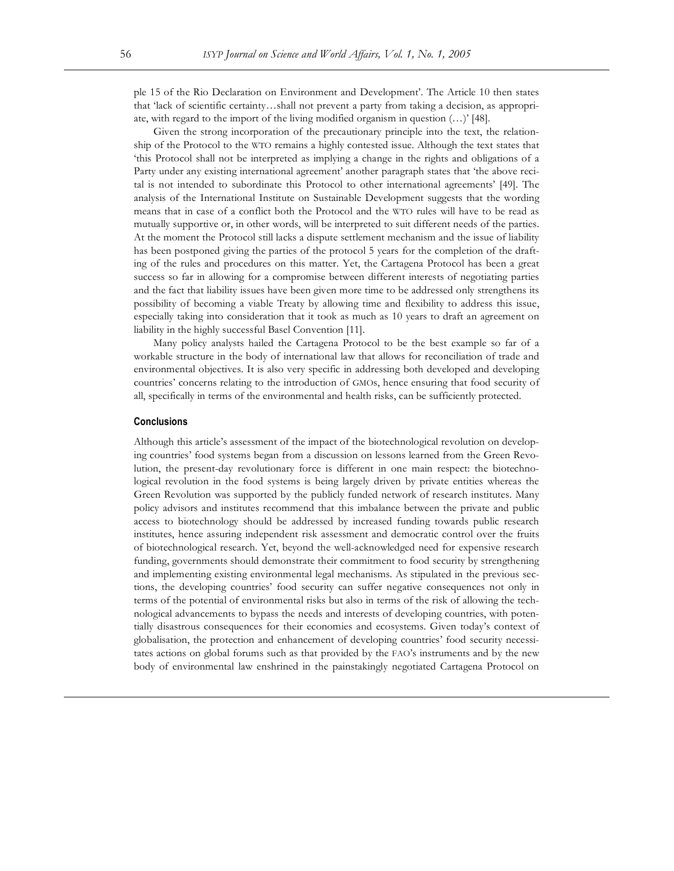ple 15 of the Rio Declaration on Environment and Development'. The Article 10 then states that 'lack of scientific certainty…shall not prevent a party from taking a decision, as appropriate, with regard to the import of the living modified organism in question (…)' [48].

Given the strong incorporation of the precautionary principle into the text, the relationship of the Protocol to the WTO remains a highly contested issue. Although the text states that 'this Protocol shall not be interpreted as implying a change in the rights and obligations of a Party under any existing international agreement' another paragraph states that 'the above recital is not intended to subordinate this Protocol to other international agreements' [49]. The analysis of the International Institute on Sustainable Development suggests that the wording means that in case of a conflict both the Protocol and the WTO rules will have to be read as mutually supportive or, in other words, will be interpreted to suit different needs of the parties. At the moment the Protocol still lacks a dispute settlement mechanism and the issue of liability has been postponed giving the parties of the protocol 5 years for the completion of the drafting of the rules and procedures on this matter. Yet, the Cartagena Protocol has been a great success so far in allowing for a compromise between different interests of negotiating parties and the fact that liability issues have been given more time to be addressed only strengthens its possibility of becoming a viable Treaty by allowing time and flexibility to address this issue, especially taking into consideration that it took as much as 10 years to draft an agreement on liability in the highly successful Basel Convention [11].

Many policy analysts hailed the Cartagena Protocol to be the best example so far of a workable structure in the body of international law that allows for reconciliation of trade and environmental objectives. It is also very specific in addressing both developed and developing countries' concerns relating to the introduction of GMOs, hence ensuring that food security of all, specifically in terms of the environmental and health risks, can be sufficiently protected.

### **Conclusions**

Although this article's assessment of the impact of the biotechnological revolution on developing countries' food systems began from a discussion on lessons learned from the Green Revolution, the present-day revolutionary force is different in one main respect: the biotechnological revolution in the food systems is being largely driven by private entities whereas the Green Revolution was supported by the publicly funded network of research institutes. Many policy advisors and institutes recommend that this imbalance between the private and public access to biotechnology should be addressed by increased funding towards public research institutes, hence assuring independent risk assessment and democratic control over the fruits of biotechnological research. Yet, beyond the well-acknowledged need for expensive research funding, governments should demonstrate their commitment to food security by strengthening and implementing existing environmental legal mechanisms. As stipulated in the previous sections, the developing countries' food security can suffer negative consequences not only in terms of the potential of environmental risks but also in terms of the risk of allowing the technological advancements to bypass the needs and interests of developing countries, with potentially disastrous consequences for their economies and ecosystems. Given today's context of globalisation, the protection and enhancement of developing countries' food security necessitates actions on global forums such as that provided by the FAO's instruments and by the new body of environmental law enshrined in the painstakingly negotiated Cartagena Protocol on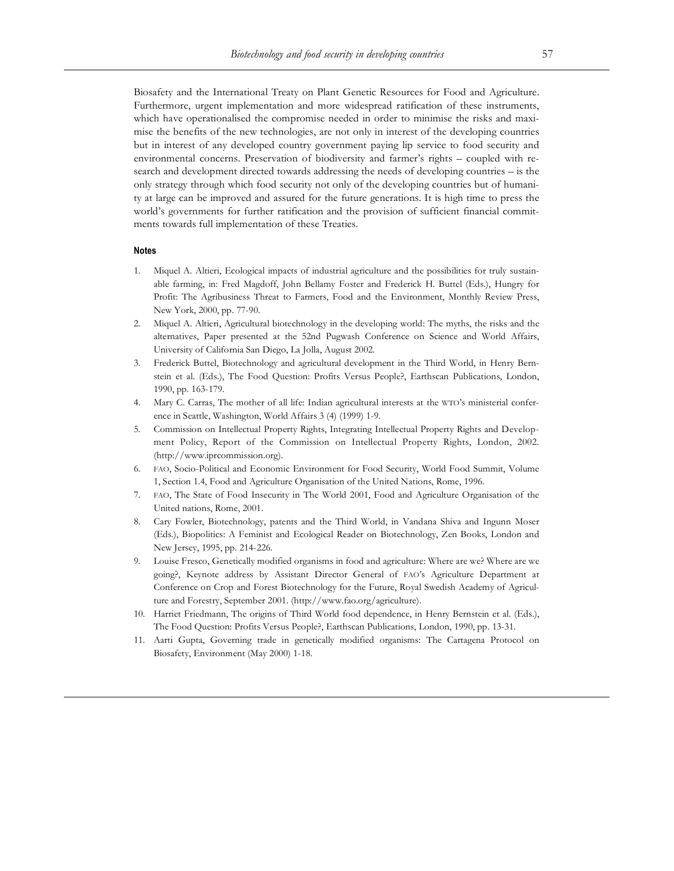Biosafety and the International Treaty on Plant Genetic Resources for Food and Agriculture. Furthermore, urgent implementation and more widespread ratification of these instruments, which have operationalised the compromise needed in order to minimise the risks and maximise the benefits of the new technologies, are not only in interest of the developing countries but in interest of any developed country government paying lip service to food security and environmental concerns. Preservation of biodiversity and farmer's rights – coupled with research and development directed towards addressing the needs of developing countries – is the only strategy through which food security not only of the developing countries but of humanity at large can be improved and assured for the future generations. It is high time to press the world's governments for further ratification and the provision of sufficient financial commitments towards full implementation of these Treaties.

#### **Notes**

- 1. Miquel A. Altieri, Ecological impacts of industrial agriculture and the possibilities for truly sustainable farming, in: Fred Magdoff, John Bellamy Foster and Frederick H. Buttel (Eds.), Hungry for Profit: The Agribusiness Threat to Farmers, Food and the Environment, Monthly Review Press, New York, 2000, pp. 77-90.
- 2. Miquel A. Altieri, Agricultural biotechnology in the developing world: The myths, the risks and the alternatives, Paper presented at the 52nd Pugwash Conference on Science and World Affairs, University of California San Diego, La Jolla, August 2002.
- 3. Frederick Buttel, Biotechnology and agricultural development in the Third World, in Henry Bernstein et al. (Eds.), The Food Question: Profits Versus People?, Earthscan Publications, London, 1990, pp. 163-179.
- 4. Mary C. Carras, The mother of all life: Indian agricultural interests at the WTO's ministerial conference in Seattle, Washington, World Affairs 3 (4) (1999) 1-9.
- 5. Commission on Intellectual Property Rights, Integrating Intellectual Property Rights and Development Policy, Report of the Commission on Intellectual Property Rights, London, 2002. (http://www.iprcommission.org).
- 6. FAO, Socio-Political and Economic Environment for Food Security, World Food Summit, Volume 1, Section 1.4, Food and Agriculture Organisation of the United Nations, Rome, 1996.
- 7. FAO, The State of Food Insecurity in The World 2001, Food and Agriculture Organisation of the United nations, Rome, 2001.
- 8. Cary Fowler, Biotechnology, patents and the Third World, in Vandana Shiva and Ingunn Moser (Eds.), Biopolitics: A Feminist and Ecological Reader on Biotechnology, Zen Books, London and New Jersey, 1995, pp. 214-226.
- 9. Louise Fresco, Genetically modified organisms in food and agriculture: Where are we? Where are we going?, Keynote address by Assistant Director General of FAO's Agriculture Department at Conference on Crop and Forest Biotechnology for the Future, Royal Swedish Academy of Agriculture and Forestry, September 2001. (http://www.fao.org/agriculture).
- 10. Harriet Friedmann, The origins of Third World food dependence, in Henry Bernstein et al. (Eds.), The Food Question: Profits Versus People?, Earthscan Publications, London, 1990, pp. 13-31.
- 11. Aarti Gupta, Governing trade in genetically modified organisms: The Cartagena Protocol on Biosafety, Environment (May 2000) 1-18.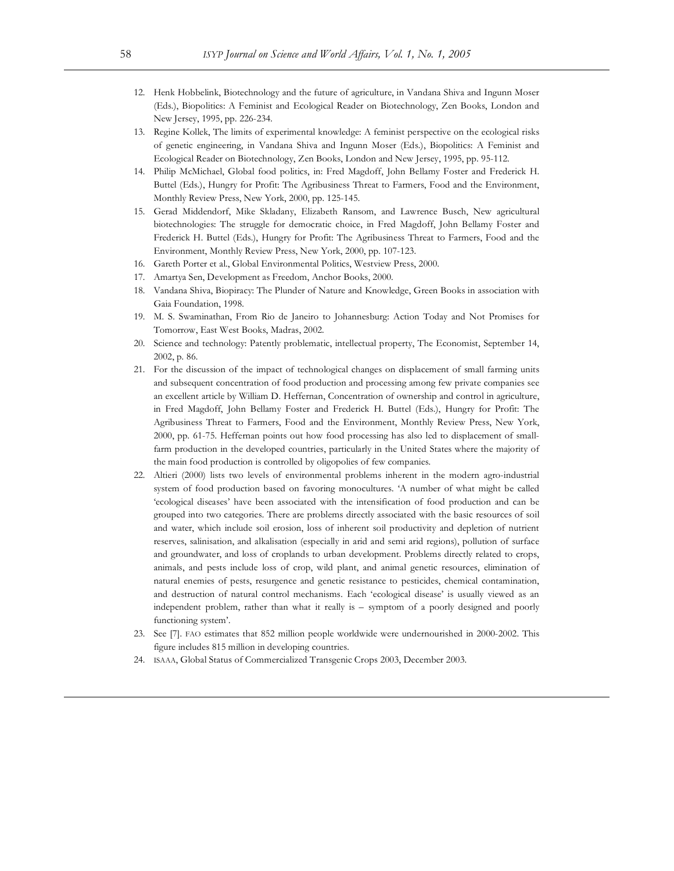- 12. Henk Hobbelink, Biotechnology and the future of agriculture, in Vandana Shiva and Ingunn Moser (Eds.), Biopolitics: A Feminist and Ecological Reader on Biotechnology, Zen Books, London and New Jersey, 1995, pp. 226-234.
- 13. Regine Kollek, The limits of experimental knowledge: A feminist perspective on the ecological risks of genetic engineering, in Vandana Shiva and Ingunn Moser (Eds.), Biopolitics: A Feminist and Ecological Reader on Biotechnology, Zen Books, London and New Jersey, 1995, pp. 95-112.
- 14. Philip McMichael, Global food politics, in: Fred Magdoff, John Bellamy Foster and Frederick H. Buttel (Eds.), Hungry for Profit: The Agribusiness Threat to Farmers, Food and the Environment, Monthly Review Press, New York, 2000, pp. 125-145.
- 15. Gerad Middendorf, Mike Skladany, Elizabeth Ransom, and Lawrence Busch, New agricultural biotechnologies: The struggle for democratic choice, in Fred Magdoff, John Bellamy Foster and Frederick H. Buttel (Eds.), Hungry for Profit: The Agribusiness Threat to Farmers, Food and the Environment, Monthly Review Press, New York, 2000, pp. 107-123.
- 16. Gareth Porter et al., Global Environmental Politics, Westview Press, 2000.
- 17. Amartya Sen, Development as Freedom, Anchor Books, 2000.
- 18. Vandana Shiva, Biopiracy: The Plunder of Nature and Knowledge, Green Books in association with Gaia Foundation, 1998.
- 19. M. S. Swaminathan, From Rio de Janeiro to Johannesburg: Action Today and Not Promises for Tomorrow, East West Books, Madras, 2002.
- 20. Science and technology: Patently problematic, intellectual property, The Economist, September 14, 2002, p. 86.
- 21. For the discussion of the impact of technological changes on displacement of small farming units and subsequent concentration of food production and processing among few private companies see an excellent article by William D. Heffernan, Concentration of ownership and control in agriculture, in Fred Magdoff, John Bellamy Foster and Frederick H. Buttel (Eds.), Hungry for Profit: The Agribusiness Threat to Farmers, Food and the Environment, Monthly Review Press, New York, 2000, pp. 61-75. Heffernan points out how food processing has also led to displacement of smallfarm production in the developed countries, particularly in the United States where the majority of the main food production is controlled by oligopolies of few companies.
- 22. Altieri (2000) lists two levels of environmental problems inherent in the modern agro-industrial system of food production based on favoring monocultures. 'A number of what might be called 'ecological diseases' have been associated with the intensification of food production and can be grouped into two categories. There are problems directly associated with the basic resources of soil and water, which include soil erosion, loss of inherent soil productivity and depletion of nutrient reserves, salinisation, and alkalisation (especially in arid and semi arid regions), pollution of surface and groundwater, and loss of croplands to urban development. Problems directly related to crops, animals, and pests include loss of crop, wild plant, and animal genetic resources, elimination of natural enemies of pests, resurgence and genetic resistance to pesticides, chemical contamination, and destruction of natural control mechanisms. Each 'ecological disease' is usually viewed as an independent problem, rather than what it really is – symptom of a poorly designed and poorly functioning system'.
- 23. See [7]. FAO estimates that 852 million people worldwide were undernourished in 2000-2002. This figure includes 815 million in developing countries.
- 24. ISAAA, Global Status of Commercialized Transgenic Crops 2003, December 2003.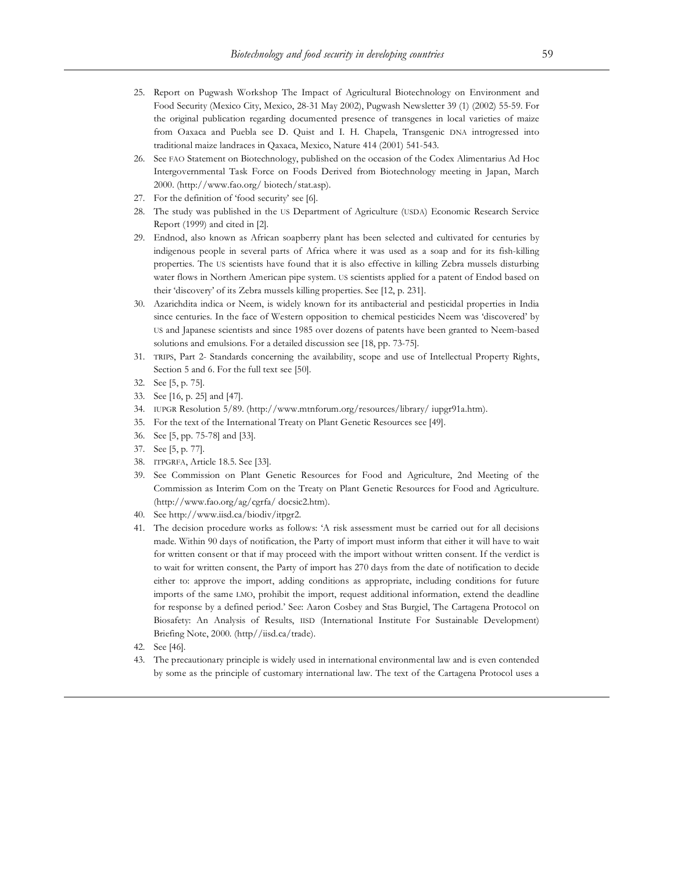- 25. Report on Pugwash Workshop The Impact of Agricultural Biotechnology on Environment and Food Security (Mexico City, Mexico, 28-31 May 2002), Pugwash Newsletter 39 (1) (2002) 55-59. For the original publication regarding documented presence of transgenes in local varieties of maize from Oaxaca and Puebla see D. Quist and I. H. Chapela, Transgenic DNA introgressed into traditional maize landraces in Qaxaca, Mexico, Nature 414 (2001) 541-543.
- 26. See FAO Statement on Biotechnology, published on the occasion of the Codex Alimentarius Ad Hoc Intergovernmental Task Force on Foods Derived from Biotechnology meeting in Japan, March 2000. (http://www.fao.org/ biotech/stat.asp).
- 27. For the definition of 'food security' see [6].
- 28. The study was published in the US Department of Agriculture (USDA) Economic Research Service Report (1999) and cited in [2].
- 29. Endnod, also known as African soapberry plant has been selected and cultivated for centuries by indigenous people in several parts of Africa where it was used as a soap and for its fish-killing properties. The US scientists have found that it is also effective in killing Zebra mussels disturbing water flows in Northern American pipe system. US scientists applied for a patent of Endod based on their 'discovery' of its Zebra mussels killing properties. See [12, p. 231].
- 30. Azarichdita indica or Neem, is widely known for its antibacterial and pesticidal properties in India since centuries. In the face of Western opposition to chemical pesticides Neem was 'discovered' by US and Japanese scientists and since 1985 over dozens of patents have been granted to Neem-based solutions and emulsions. For a detailed discussion see [18, pp. 73-75].
- 31. TRIPS, Part 2- Standards concerning the availability, scope and use of Intellectual Property Rights, Section 5 and 6. For the full text see [50].
- 32. See [5, p. 75].
- 33. See [16, p. 25] and [47].
- 34. IUPGR Resolution 5/89. (http://www.mtnforum.org/resources/library/ iupgr91a.htm).
- 35. For the text of the International Treaty on Plant Genetic Resources see [49].
- 36. See [5, pp. 75-78] and [33].
- 37. See [5, p. 77].
- 38. ITPGRFA, Article 18.5. See [33].
- 39. See Commission on Plant Genetic Resources for Food and Agriculture, 2nd Meeting of the Commission as Interim Com on the Treaty on Plant Genetic Resources for Food and Agriculture. (http://www.fao.org/ag/cgrfa/ docsic2.htm).
- 40. See http://www.iisd.ca/biodiv/itpgr2.
- 41. The decision procedure works as follows: 'A risk assessment must be carried out for all decisions made. Within 90 days of notification, the Party of import must inform that either it will have to wait for written consent or that if may proceed with the import without written consent. If the verdict is to wait for written consent, the Party of import has 270 days from the date of notification to decide either to: approve the import, adding conditions as appropriate, including conditions for future imports of the same LMO, prohibit the import, request additional information, extend the deadline for response by a defined period.' See: Aaron Cosbey and Stas Burgiel, The Cartagena Protocol on Biosafety: An Analysis of Results, IISD (International Institute For Sustainable Development) Briefing Note, 2000. (http//iisd.ca/trade).
- 42. See [46].
- 43. The precautionary principle is widely used in international environmental law and is even contended by some as the principle of customary international law. The text of the Cartagena Protocol uses a